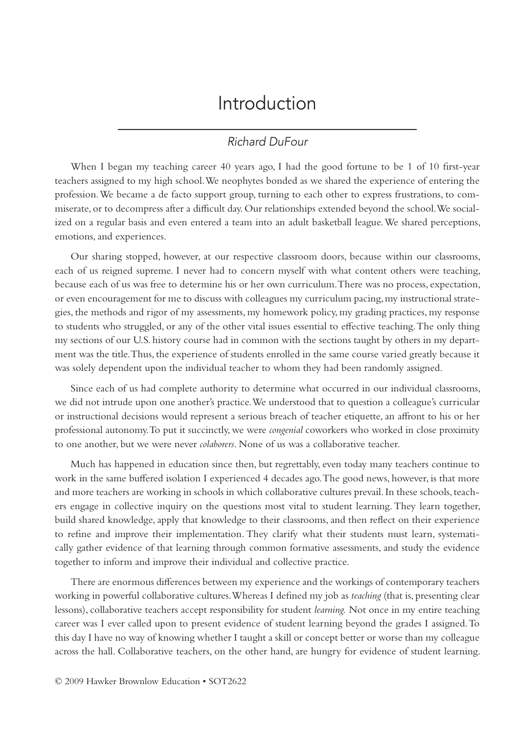## Introduction

## Richard DuFour

When I began my teaching career 40 years ago, I had the good fortune to be 1 of 10 first-year teachers assigned to my high school. We neophytes bonded as we shared the experience of entering the profession. We became a de facto support group, turning to each other to express frustrations, to commiserate, or to decompress after a difficult day. Our relationships extended beyond the school. We socialized on a regular basis and even entered a team into an adult basketball league. We shared perceptions, emotions, and experiences.

Our sharing stopped, however, at our respective classroom doors, because within our classrooms, each of us reigned supreme. I never had to concern myself with what content others were teaching, because each of us was free to determine his or her own curriculum. There was no process, expectation, or even encouragement for me to discuss with colleagues my curriculum pacing, my instructional strategies, the methods and rigor of my assessments, my homework policy, my grading practices, my response to students who struggled, or any of the other vital issues essential to effective teaching. The only thing my sections of our U.S. history course had in common with the sections taught by others in my department was the title. Thus, the experience of students enrolled in the same course varied greatly because it was solely dependent upon the individual teacher to whom they had been randomly assigned.

Since each of us had complete authority to determine what occurred in our individual classrooms, we did not intrude upon one another's practice. We understood that to question a colleague's curricular or instructional decisions would represent a serious breach of teacher etiquette, an affront to his or her professional autonomy. To put it succinctly, we were *congenial* coworkers who worked in close proximity to one another, but we were never *colaborers*. None of us was a collaborative teacher.

Much has happened in education since then, but regrettably, even today many teachers continue to work in the same buffered isolation I experienced 4 decades ago. The good news, however, is that more and more teachers are working in schools in which collaborative cultures prevail. In these schools, teachers engage in collective inquiry on the questions most vital to student learning. They learn together, build shared knowledge, apply that knowledge to their classrooms, and then reflect on their experience to refine and improve their implementation. They clarify what their students must learn, systematically gather evidence of that learning through common formative assessments, and study the evidence together to inform and improve their individual and collective practice.

There are enormous differences between my experience and the workings of contemporary teachers working in powerful collaborative cultures. Whereas I defined my job as *teaching* (that is, presenting clear lessons), collaborative teachers accept responsibility for student *learning.* Not once in my entire teaching career was I ever called upon to present evidence of student learning beyond the grades I assigned. To this day I have no way of knowing whether I taught a skill or concept better or worse than my colleague across the hall. Collaborative teachers, on the other hand, are hungry for evidence of student learning.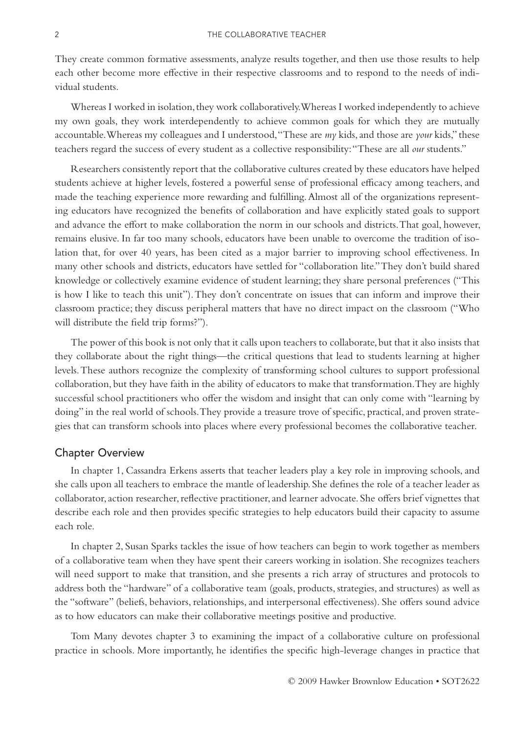They create common formative assessments, analyze results together, and then use those results to help each other become more effective in their respective classrooms and to respond to the needs of individual students.

Whereas I worked in isolation, they work collaboratively. Whereas I worked independently to achieve my own goals, they work interdependently to achieve common goals for which they are mutually accountable. Whereas my colleagues and I understood, "These are *my* kids, and those are *your* kids," these teachers regard the success of every student as a collective responsibility: "These are all *our* students."

Researchers consistently report that the collaborative cultures created by these educators have helped students achieve at higher levels, fostered a powerful sense of professional efficacy among teachers, and made the teaching experience more rewarding and fulfilling. Almost all of the organizations representing educators have recognized the benefits of collaboration and have explicitly stated goals to support and advance the effort to make collaboration the norm in our schools and districts. That goal, however, remains elusive. In far too many schools, educators have been unable to overcome the tradition of isolation that, for over 40 years, has been cited as a major barrier to improving school effectiveness. In many other schools and districts, educators have settled for "collaboration lite." They don't build shared knowledge or collectively examine evidence of student learning; they share personal preferences ("This is how I like to teach this unit"). They don't concentrate on issues that can inform and improve their classroom practice; they discuss peripheral matters that have no direct impact on the classroom ("Who will distribute the field trip forms?").

The power of this book is not only that it calls upon teachers to collaborate, but that it also insists that they collaborate about the right things—the critical questions that lead to students learning at higher levels. These authors recognize the complexity of transforming school cultures to support professional collaboration, but they have faith in the ability of educators to make that transformation. They are highly successful school practitioners who offer the wisdom and insight that can only come with "learning by doing" in the real world of schools. They provide a treasure trove of specific, practical, and proven strategies that can transform schools into places where every professional becomes the collaborative teacher.

#### Chapter Overview

In chapter 1, Cassandra Erkens asserts that teacher leaders play a key role in improving schools, and she calls upon all teachers to embrace the mantle of leadership. She defines the role of a teacher leader as collaborator, action researcher, reflective practitioner, and learner advocate. She offers brief vignettes that describe each role and then provides specific strategies to help educators build their capacity to assume each role.

In chapter 2, Susan Sparks tackles the issue of how teachers can begin to work together as members of a collaborative team when they have spent their careers working in isolation. She recognizes teachers will need support to make that transition, and she presents a rich array of structures and protocols to address both the "hardware" of a collaborative team (goals, products, strategies, and structures) as well as the "software" (beliefs, behaviors, relationships, and interpersonal effectiveness). She offers sound advice as to how educators can make their collaborative meetings positive and productive.

Tom Many devotes chapter 3 to examining the impact of a collaborative culture on professional practice in schools. More importantly, he identifies the specific high-leverage changes in practice that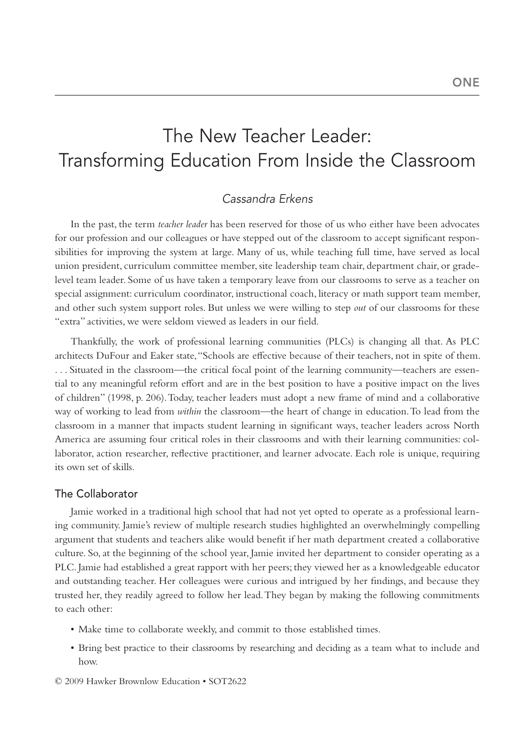# The New Teacher Leader: Transforming Education From Inside the Classroom

## Cassandra Erkens

In the past, the term *teacher leader* has been reserved for those of us who either have been advocates for our profession and our colleagues or have stepped out of the classroom to accept significant responsibilities for improving the system at large. Many of us, while teaching full time, have served as local union president, curriculum committee member, site leadership team chair, department chair, or gradelevel team leader. Some of us have taken a temporary leave from our classrooms to serve as a teacher on special assignment: curriculum coordinator, instructional coach, literacy or math support team member, and other such system support roles. But unless we were willing to step *out* of our classrooms for these "extra" activities, we were seldom viewed as leaders in our field.

Thankfully, the work of professional learning communities (PLCs) is changing all that. As PLC architects DuFour and Eaker state, "Schools are effective because of their teachers, not in spite of them. . . . Situated in the classroom—the critical focal point of the learning community—teachers are essential to any meaningful reform effort and are in the best position to have a positive impact on the lives of children" (1998, p. 206). Today, teacher leaders must adopt a new frame of mind and a collaborative way of working to lead from *within* the classroom—the heart of change in education. To lead from the classroom in a manner that impacts student learning in significant ways, teacher leaders across North America are assuming four critical roles in their classrooms and with their learning communities: collaborator, action researcher, reflective practitioner, and learner advocate. Each role is unique, requiring its own set of skills.

### The Collaborator

Jamie worked in a traditional high school that had not yet opted to operate as a professional learning community. Jamie's review of multiple research studies highlighted an overwhelmingly compelling argument that students and teachers alike would benefit if her math department created a collaborative culture. So, at the beginning of the school year, Jamie invited her department to consider operating as a PLC. Jamie had established a great rapport with her peers; they viewed her as a knowledgeable educator and outstanding teacher. Her colleagues were curious and intrigued by her findings, and because they trusted her, they readily agreed to follow her lead. They began by making the following commitments to each other:

- Make time to collaborate weekly, and commit to those established times.
- Bring best practice to their classrooms by researching and deciding as a team what to include and how.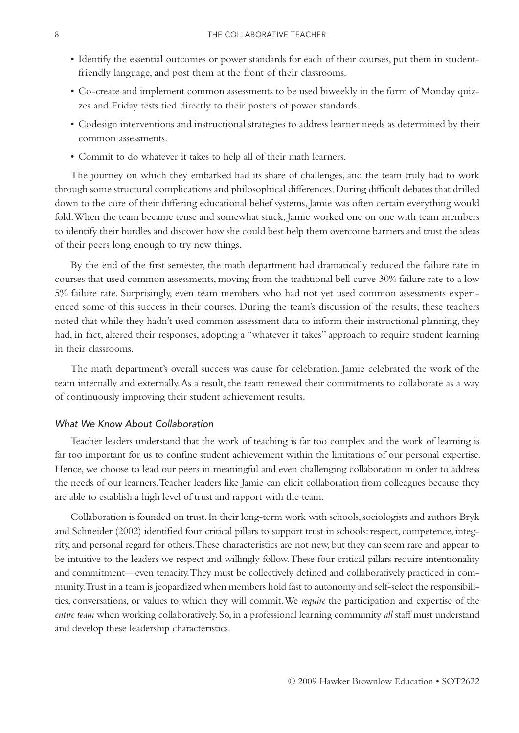- Identify the essential outcomes or power standards for each of their courses, put them in studentfriendly language, and post them at the front of their classrooms.
- Co-create and implement common assessments to be used biweekly in the form of Monday quizzes and Friday tests tied directly to their posters of power standards.
- Codesign interventions and instructional strategies to address learner needs as determined by their common assessments.
- Commit to do whatever it takes to help all of their math learners.

The journey on which they embarked had its share of challenges, and the team truly had to work through some structural complications and philosophical differences. During difficult debates that drilled down to the core of their differing educational belief systems, Jamie was often certain everything would fold. When the team became tense and somewhat stuck, Jamie worked one on one with team members to identify their hurdles and discover how she could best help them overcome barriers and trust the ideas of their peers long enough to try new things.

By the end of the first semester, the math department had dramatically reduced the failure rate in courses that used common assessments, moving from the traditional bell curve 30% failure rate to a low 5% failure rate. Surprisingly, even team members who had not yet used common assessments experienced some of this success in their courses. During the team's discussion of the results, these teachers noted that while they hadn't used common assessment data to inform their instructional planning, they had, in fact, altered their responses, adopting a "whatever it takes" approach to require student learning in their classrooms.

The math department's overall success was cause for celebration. Jamie celebrated the work of the team internally and externally. As a result, the team renewed their commitments to collaborate as a way of continuously improving their student achievement results.

#### What We Know About Collaboration

Teacher leaders understand that the work of teaching is far too complex and the work of learning is far too important for us to confine student achievement within the limitations of our personal expertise. Hence, we choose to lead our peers in meaningful and even challenging collaboration in order to address the needs of our learners. Teacher leaders like Jamie can elicit collaboration from colleagues because they are able to establish a high level of trust and rapport with the team.

Collaboration is founded on trust. In their long-term work with schools, sociologists and authors Bryk and Schneider (2002) identified four critical pillars to support trust in schools: respect, competence, integrity, and personal regard for others. These characteristics are not new, but they can seem rare and appear to be intuitive to the leaders we respect and willingly follow. These four critical pillars require intentionality and commitment—even tenacity. They must be collectively defined and collaboratively practiced in community. Trust in a team is jeopardized when members hold fast to autonomy and self-select the responsibilities, conversations, or values to which they will commit. We *require* the participation and expertise of the *entire team* when working collaboratively. So, in a professional learning community *all* staff must understand and develop these leadership characteristics.